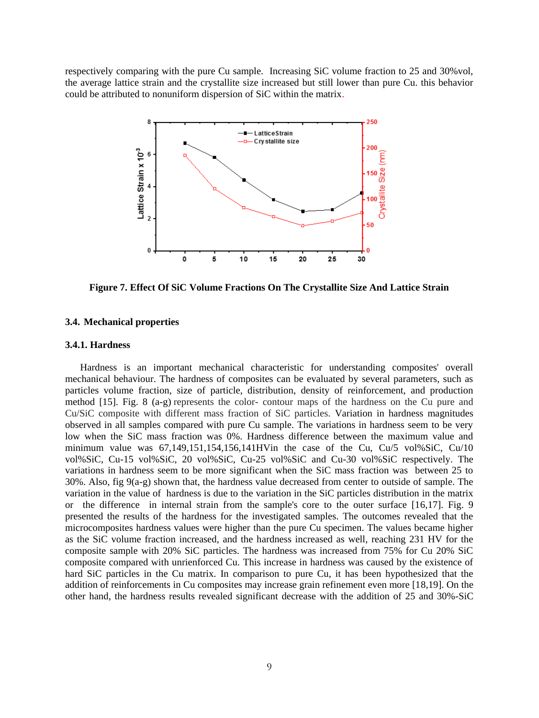respectively comparing with the pure Cu sample. Increasing SiC volume fraction to 25 and 30%vol, the average lattice strain and the crystallite size increased but still lower than pure Cu. this behavior could be attributed to nonuniform dispersion of SiC within the matrix.



**Figure 7. Effect Of SiC Volume Fractions On The Crystallite Size And Lattice Strain**

### **3.4. Mechanical properties**

#### **3.4.1. Hardness**

 Hardness is an important mechanical characteristic for understanding composites' overall mechanical behaviour. The hardness of composites can be evaluated by several parameters, such as particles volume fraction, size of particle, distribution, density of reinforcement, and production method [15]. Fig. 8 (a-g) represents the color- contour maps of the hardness on the Cu pure and Cu/SiC composite with different mass fraction of SiC particles. Variation in hardness magnitudes observed in all samples compared with pure Cu sample. The variations in hardness seem to be very low when the SiC mass fraction was 0%. Hardness difference between the maximum value and minimum value was  $67,149,151,154,156,141$  HVin the case of the Cu, Cu $/5$  vol%SiC, Cu $/10$ vol%SiC, Cu-15 vol%SiC, 20 vol%SiC, Cu-25 vol%SiC and Cu-30 vol%SiC respectively. The variations in hardness seem to be more significant when the SiC mass fraction was between 25 to  $30\%$ . Also, fig  $9(a-g)$  shown that, the hardness value decreased from center to outside of sample. The variation in the value of hardness is due to the variation in the SiC particles distribution in the matrix or the difference in internal strain from the sample's core to the outer surface [16,17]. Fig. 9 presented the results of the hardness for the investigated samples. The outcomes revealed that the microcomposites hardness values were higher than the pure Cu specimen. The values became higher as the SiC volume fraction increased, and the hardness increased as well, reaching 231 HV for the composite sample with 20% SiC particles. The hardness was increased from 75% for Cu 20% SiC composite compared with unrienforced Cu. This increase in hardness was caused by the existence of hard SiC particles in the Cu matrix. In comparison to pure Cu, it has been hypothesized that the addition of reinforcements in Cu composites may increase grain refinement even more [18,19]. On the other hand, the hardness results revealed significant decrease with the addition of 25 and 30%-SiC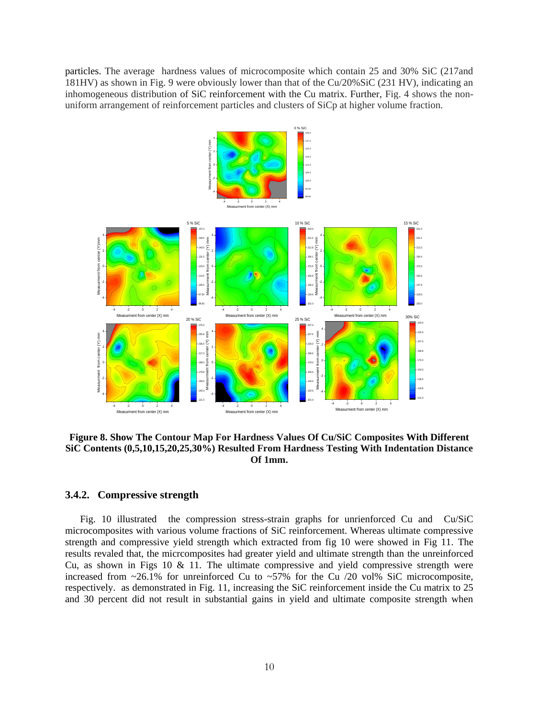particles. The average hardness values of microcomposite which contain 25 and 30% SiC (217and 181HV) as shown in Fig. 9 were obviously lower than that of the Cu/20%SiC (231 HV), indicating an inhomogeneous distribution of SiC reinforcement with the Cu matrix. Further, Fig. 4 shows the nonuniform arrangement of reinforcement particles and clusters of SiCp at higher volume fraction.



**Figure 8. Show The Contour Map For Hardness Values Of Cu/SiC Composites With Different SiC Contents (0,5,10,15,20,25,30%) Resulted From Hardness Testing With Indentation Distance Of 1mm.**

## **3.4.2. Compressive strength**

 Fig. 10 illustrated the compression stress-strain graphs for unrienforced Cu and Cu/SiC microcomposites with various volume fractions of SiC reinforcement. Whereas ultimate compressive strength and compressive yield strength which extracted from fig 10 were showed in Fig 11. The results revaled that, the micrcomposites had greater yield and ultimate strength than the unreinforced Cu, as shown in Figs 10  $\&$  11. The ultimate compressive and yield compressive strength were increased from  $\sim$ 26.1% for unreinforced Cu to  $\sim$ 57% for the Cu /20 vol% SiC microcomposite, respectively. as demonstrated in Fig. 11, increasing the SiC reinforcement inside the Cu matrix to 25 and 30 percent did not result in substantial gains in yield and ultimate composite strength when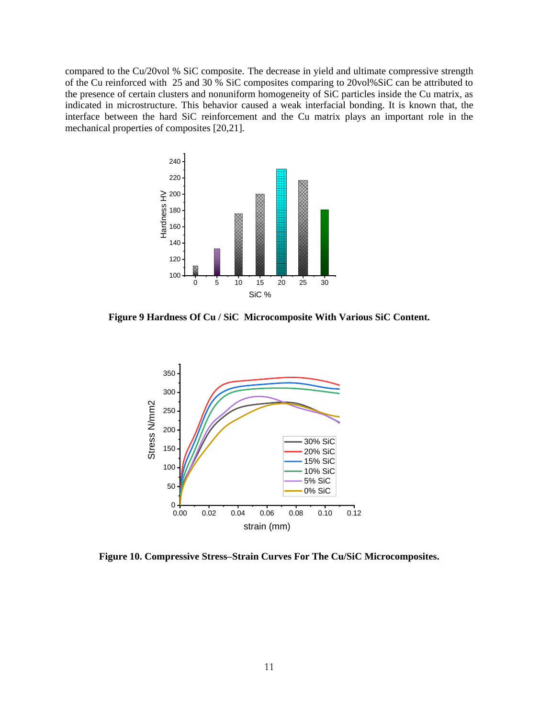compared to the Cu/20vol % SiC composite. The decrease in yield and ultimate compressive strength of the Cu reinforced with 25 and 30 % SiC composites comparing to 20vol%SiC can be attributed to the presence of certain clusters and nonuniform homogeneity of SiC particles inside the Cu matrix, as indicated in microstructure. This behavior caused a weak interfacial bonding. It is known that, the interface between the hard SiC reinforcement and the Cu matrix plays an important role in the mechanical properties of composites [20,21].



**Figure 9 Hardness Of Cu / SiC Microcomposite With Various SiC Content.**



**Figure 10. Compressive Stress–Strain Curves For The Cu/SiC Microcomposites.**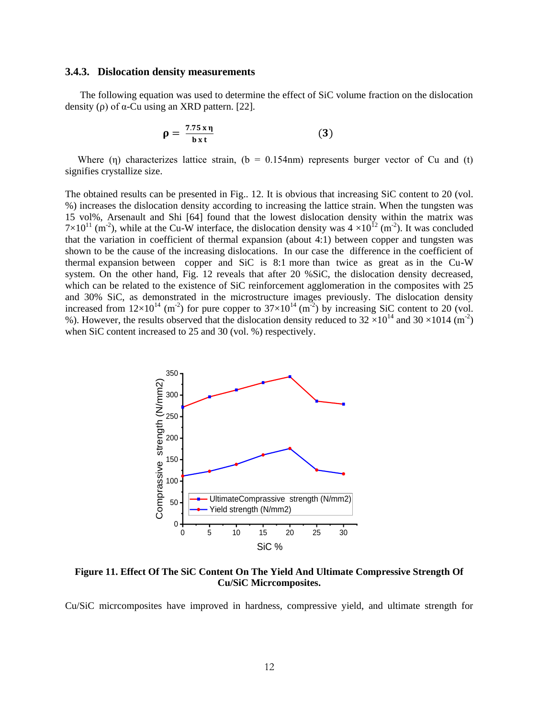## **3.4.3. Dislocation density measurements**

 The following equation was used to determine the effect of SiC volume fraction on the dislocation density ( $\rho$ ) of  $\alpha$ -Cu using an XRD pattern. [22].

$$
\rho = \frac{7.75 \,\mathrm{x} \,\mathrm{\eta}}{\mathrm{b} \,\mathrm{x} \,\mathrm{t}} \tag{3}
$$

Where (n) characterizes lattice strain,  $(b = 0.154$  nm) represents burger vector of Cu and (t) signifies crystallize size.

The obtained results can be presented in Fig.. 12. It is obvious that increasing SiC content to 20 (vol. %) increases the dislocation density according to increasing the lattice strain. When the tungsten was 15 vol%, Arsenault and Shi [64] found that the lowest dislocation density within the matrix was  $7\times10^{11}$  (m<sup>-2</sup>), while at the Cu-W interface, the dislocation density was  $4\times10^{12}$  (m<sup>-2</sup>). It was concluded that the variation in coefficient of thermal expansion (about 4:1) between copper and tungsten was shown to be the cause of the increasing dislocations. In our case the difference in the coefficient of thermal expansion between copper and SiC is 8:1 more than twice as great as in the Cu-W system. On the other hand, Fig. 12 reveals that after 20 %SiC, the dislocation density decreased, which can be related to the existence of SiC reinforcement agglomeration in the composites with 25 and 30% SiC, as demonstrated in the microstructure images previously. The dislocation density increased from  $12\times10^{14}$  (m<sup>-2</sup>) for pure copper to  $37\times10^{14}$  (m<sup>-2</sup>) by increasing SiC content to 20 (vol. %). However, the results observed that the dislocation density reduced to  $32 \times 10^{14}$  and  $30 \times 1014$  (m<sup>-2</sup>) when SiC content increased to 25 and 30 (vol. %) respectively.



**Figure 11. Effect Of The SiC Content On The Yield And Ultimate Compressive Strength Of Cu/SiC Micrcomposites.**

Cu/SiC micrcomposites have improved in hardness, compressive yield, and ultimate strength for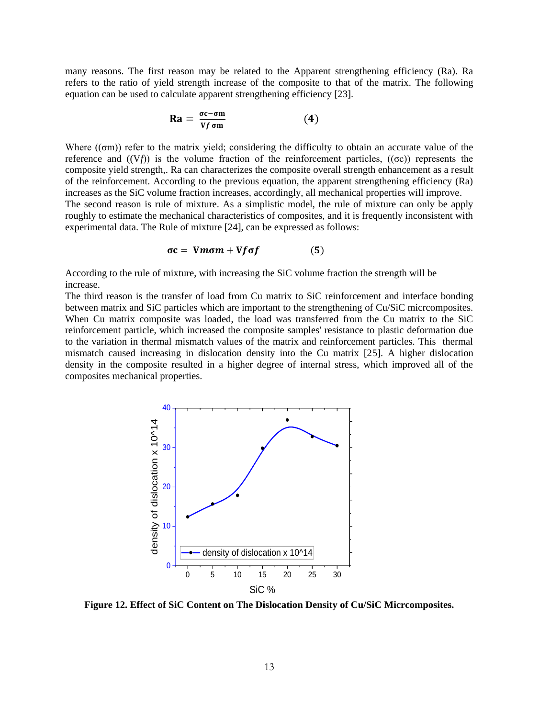many reasons. The first reason may be related to the Apparent strengthening efficiency (Ra). Ra refers to the ratio of yield strength increase of the composite to that of the matrix. The following equation can be used to calculate apparent strengthening efficiency [23].

$$
Ra = \frac{\sigma c - \sigma m}{Vf \sigma m} \tag{4}
$$

Where  $((\sigma m))$  refer to the matrix yield; considering the difficulty to obtain an accurate value of the reference and  $((Vf))$  is the volume fraction of the reinforcement particles,  $((\sigma c))$  represents the composite yield strength,. Ra can characterizes the composite overall strength enhancement as a result of the reinforcement. According to the previous equation, the apparent strengthening efficiency (Ra) increases as the SiC volume fraction increases, accordingly, all mechanical properties will improve. The second reason is rule of mixture. As a simplistic model, the rule of mixture can only be apply roughly to estimate the mechanical characteristics of composites, and it is frequently inconsistent with experimental data. The Rule of mixture [24], can be expressed as follows:

$$
\sigma c = Vm\sigma m + Vf\sigma f \tag{5}
$$

According to the rule of mixture, with increasing the SiC volume fraction the strength will be increase.

The third reason is the transfer of load from Cu matrix to SiC reinforcement and interface bonding between matrix and SiC particles which are important to the strengthening of Cu/SiC micrcomposites. When Cu matrix composite was loaded, the load was transferred from the Cu matrix to the SiC reinforcement particle, which increased the composite samples' resistance to plastic deformation due to the variation in thermal mismatch values of the matrix and reinforcement particles. This thermal mismatch caused increasing in dislocation density into the Cu matrix [25]. A higher dislocation density in the composite resulted in a higher degree of internal stress, which improved all of the composites mechanical properties.



**Figure 12. Effect of SiC Content on The Dislocation Density of Cu/SiC Micrcomposites.**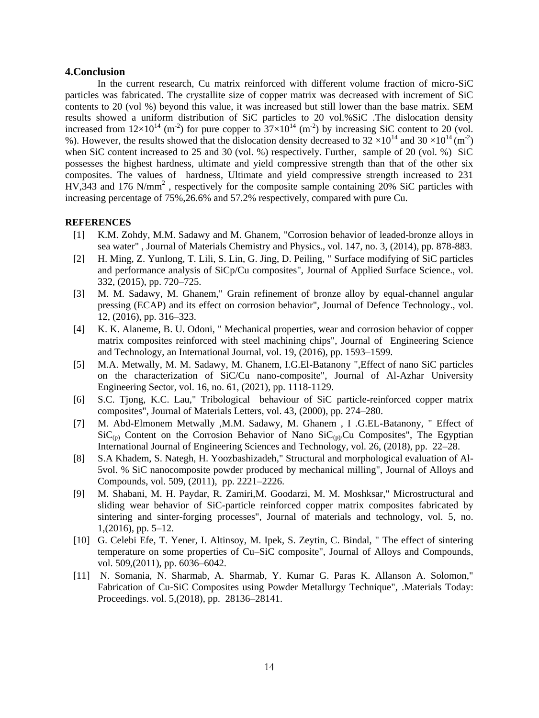# **4.Conclusion**

 In the current research, Cu matrix reinforced with different volume fraction of micro-SiC particles was fabricated. The crystallite size of copper matrix was decreased with increment of SiC contents to 20 (vol %) beyond this value, it was increased but still lower than the base matrix. SEM results showed a uniform distribution of SiC particles to 20 vol.%SiC .The dislocation density increased from  $12\times10^{14}$  (m<sup>-2</sup>) for pure copper to  $37\times10^{14}$  (m<sup>-2</sup>) by increasing SiC content to 20 (vol. %). However, the results showed that the dislocation density decreased to  $32 \times 10^{14}$  and  $30 \times 10^{14}$  (m<sup>-2</sup>) when SiC content increased to 25 and 30 (vol. %) respectively. Further, sample of 20 (vol. %) SiC possesses the highest hardness, ultimate and yield compressive strength than that of the other six composites. The values of hardness, Ultimate and yield compressive strength increased to 231  $HV,343$  and 176 N/mm<sup>2</sup>, respectively for the composite sample containing 20% SiC particles with increasing percentage of 75%,26.6% and 57.2% respectively, compared with pure Cu.

### **[REFERENCES](file:///C:/Users/ashraf/AppData/Roaming/Microsoft/Word/References.doc)**

- [1] K.M. Zohdy, M.M. Sadawy and M. Ghanem, "Corrosion behavior of leaded-bronze alloys in sea water" , Journal of Materials Chemistry and Physics., vol. 147, no. 3, (2014), pp. 878-883.
- [2] H. Ming, Z. Yunlong, T. Lili, S. Lin, G. Jing, D. Peiling, " Surface modifying of SiC particles and performance analysis of SiCp/Cu composites", Journal of Applied Surface Science., vol. 332, (2015), pp. 720–725.
- [3] M. M. Sadawy, M. Ghanem," Grain refinement of bronze alloy by equal-channel angular pressing (ECAP) and its effect on corrosion behavior", Journal of Defence Technology., vol. 12, (2016), pp. 316–323.
- [4] K. K. Alaneme, B. U. Odoni, " Mechanical properties, wear and corrosion behavior of copper matrix composites reinforced with steel machining chips", Journal of Engineering Science and Technology, an International Journal, vol. 19, (2016), pp. 1593–1599.
- [5] M.A. Metwally, M. M. Sadawy, M. Ghanem, I.G.El-Batanony ",Effect of nano SiC particles on the characterization of SiC/Cu nano-composite", Journal of Al-Azhar University Engineering Sector, vol. 16, no. 61, (2021), pp. 1118-1129.
- [6] S.C. Tjong, K.C. Lau," Tribological behaviour of SiC particle-reinforced copper matrix composites", Journal of Materials Letters, vol. 43, (2000), pp. 274–280.
- [7] M. Abd-Elmonem Metwally ,M.M. Sadawy, M. Ghanem , I .G.EL-Batanony, " Effect of  $\text{SiC}_{(p)}$  Content on the Corrosion Behavior of Nano  $\text{SiC}_{(p)}$ Cu Composites", The Egyptian International Journal of Engineering Sciences and Technology, vol. 26, (2018), pp. 22–28.
- [8] S.A Khadem, S. Nategh, H. Yoozbashizadeh," Structural and morphological evaluation of Al-5vol. % SiC nanocomposite powder produced by mechanical milling", Journal of Alloys and Compounds, vol. 509, (2011), pp. 2221–2226.
- [9] M. Shabani, M. H. Paydar, R. Zamiri,M. Goodarzi, M. M. Moshksar," Microstructural and sliding wear behavior of SiC-particle reinforced copper matrix composites fabricated by sintering and sinter-forging processes", Journal of materials and technology, vol. 5, no. 1,(2016), pp. 5–12.
- [10] G. Celebi Efe, T. Yener, I. Altinsoy, M. Ipek, S. Zeytin, C. Bindal, " The effect of sintering temperature on some properties of Cu–SiC composite", Journal of Alloys and Compounds, vol. 509,(2011), pp. 6036–6042.
- [11] N. Somania, N. Sharmab, A. Sharmab, Y. Kumar G. Paras K. Allanson A. Solomon," Fabrication of Cu-SiC Composites using Powder Metallurgy Technique", .Materials Today: Proceedings. vol. 5,(2018), pp. 28136–28141.